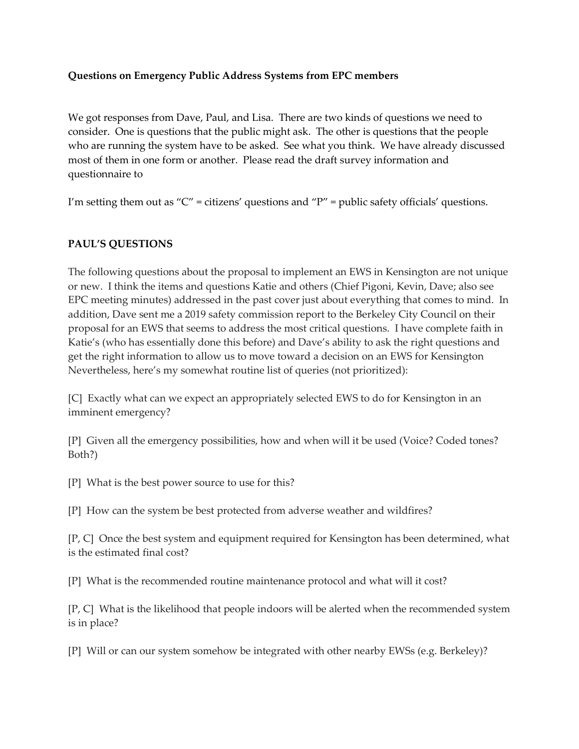## **Questions on Emergency Public Address Systems from EPC members**

We got responses from Dave, Paul, and Lisa. There are two kinds of questions we need to consider. One is questions that the public might ask. The other is questions that the people who are running the system have to be asked. See what you think. We have already discussed most of them in one form or another. Please read the draft survey information and questionnaire to

I'm setting them out as " $C$ " = citizens' questions and " $P$ " = public safety officials' questions.

## **PAUL'S QUESTIONS**

The following questions about the proposal to implement an EWS in Kensington are not unique or new. I think the items and questions Katie and others (Chief Pigoni, Kevin, Dave; also see EPC meeting minutes) addressed in the past cover just about everything that comes to mind. In addition, Dave sent me a 2019 safety commission report to the Berkeley City Council on their proposal for an EWS that seems to address the most critical questions. I have complete faith in Katie's (who has essentially done this before) and Dave's ability to ask the right questions and get the right information to allow us to move toward a decision on an EWS for Kensington Nevertheless, here's my somewhat routine list of queries (not prioritized):

[C] Exactly what can we expect an appropriately selected EWS to do for Kensington in an imminent emergency?

[P] Given all the emergency possibilities, how and when will it be used (Voice? Coded tones? Both?)

[P] What is the best power source to use for this?

[P] How can the system be best protected from adverse weather and wildfires?

[P, C] Once the best system and equipment required for Kensington has been determined, what is the estimated final cost?

[P] What is the recommended routine maintenance protocol and what will it cost?

[P, C] What is the likelihood that people indoors will be alerted when the recommended system is in place?

[P] Will or can our system somehow be integrated with other nearby EWSs (e.g. Berkeley)?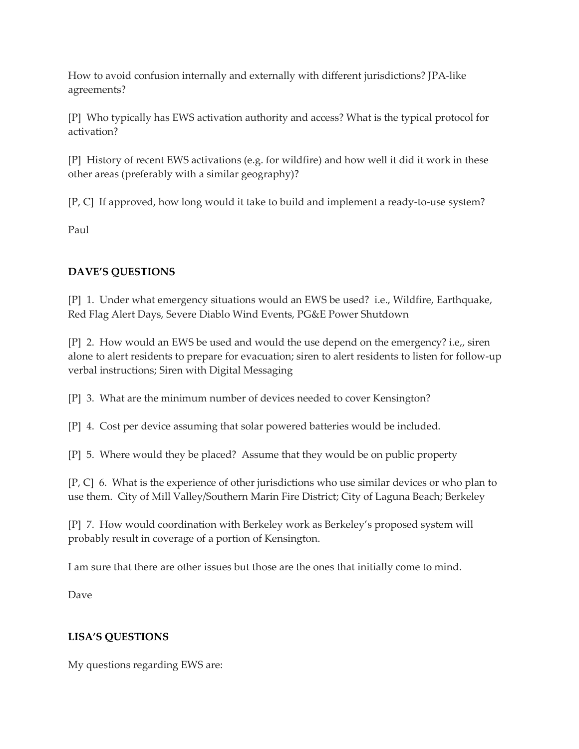How to avoid confusion internally and externally with different jurisdictions? JPA-like agreements?

[P] Who typically has EWS activation authority and access? What is the typical protocol for activation?

[P] History of recent EWS activations (e.g. for wildfire) and how well it did it work in these other areas (preferably with a similar geography)?

[P, C] If approved, how long would it take to build and implement a ready-to-use system?

Paul

## **DAVE'S QUESTIONS**

[P] 1. Under what emergency situations would an EWS be used? i.e., Wildfire, Earthquake, Red Flag Alert Days, Severe Diablo Wind Events, PG&E Power Shutdown

[P] 2. How would an EWS be used and would the use depend on the emergency? i.e,, siren alone to alert residents to prepare for evacuation; siren to alert residents to listen for follow-up verbal instructions; Siren with Digital Messaging

[P] 3. What are the minimum number of devices needed to cover Kensington?

[P] 4. Cost per device assuming that solar powered batteries would be included.

[P] 5. Where would they be placed? Assume that they would be on public property

[P, C] 6. What is the experience of other jurisdictions who use similar devices or who plan to use them. City of Mill Valley/Southern Marin Fire District; City of Laguna Beach; Berkeley

[P] 7. How would coordination with Berkeley work as Berkeley's proposed system will probably result in coverage of a portion of Kensington.

I am sure that there are other issues but those are the ones that initially come to mind.

Dave

## **LISA'S QUESTIONS**

My questions regarding EWS are: